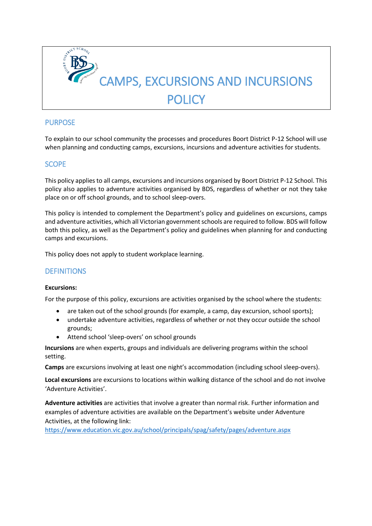

## **PURPOSE**

To explain to our school community the processes and procedures Boort District P-12 School will use when planning and conducting camps, excursions, incursions and adventure activities for students.

## SCOPE

This policy applies to all camps, excursions and incursions organised by Boort District P-12 School. This policy also applies to adventure activities organised by BDS, regardless of whether or not they take place on or off school grounds, and to school sleep-overs.

This policy is intended to complement the Department's policy and guidelines on excursions, camps and adventure activities, which all Victorian government schools are required to follow. BDS will follow both this policy, as well as the Department's policy and guidelines when planning for and conducting camps and excursions.

This policy does not apply to student workplace learning.

### **DEFINITIONS**

#### **Excursions:**

For the purpose of this policy, excursions are activities organised by the school where the students:

- are taken out of the school grounds (for example, a camp, day excursion, school sports);
- undertake adventure activities, regardless of whether or not they occur outside the school grounds;
- Attend school 'sleep-overs' on school grounds

**Incursions** are when experts, groups and individuals are delivering programs within the school setting.

**Camps** are excursions involving at least one night's accommodation (including school sleep-overs).

**Local excursions** are excursions to locations within walking distance of the school and do not involve 'Adventure Activities'.

**Adventure activities** are activities that involve a greater than normal risk. Further information and examples of adventure activities are available on the Department's website under Adventure Activities, at the following link:

<https://www.education.vic.gov.au/school/principals/spag/safety/pages/adventure.aspx>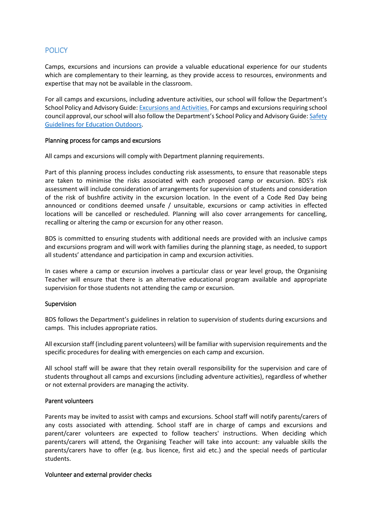## **POLICY**

Camps, excursions and incursions can provide a valuable educational experience for our students which are complementary to their learning, as they provide access to resources, environments and expertise that may not be available in the classroom.

For all camps and excursions, including adventure activities, our school will follow the Department's School Policy and Advisory Guide[: Excursions and Activities.](http://www.education.vic.gov.au/school/principals/spag/safety/pages/excursions.aspx) For camps and excursions requiring school council approval, our school will also follow the Department's School Policy and Advisory Guide: Safety [Guidelines for Education Outdoors.](https://www.education.vic.gov.au/school/teachers/studentmanagement/excursions/Pages/outdoorguidelines.aspx)

#### Planning process for camps and excursions

All camps and excursions will comply with Department planning requirements.

Part of this planning process includes conducting risk assessments, to ensure that reasonable steps are taken to minimise the risks associated with each proposed camp or excursion. BDS's risk assessment will include consideration of arrangements for supervision of students and consideration of the risk of bushfire activity in the excursion location. In the event of a Code Red Day being announced or conditions deemed unsafe / unsuitable, excursions or camp activities in effected locations will be cancelled or rescheduled. Planning will also cover arrangements for cancelling, recalling or altering the camp or excursion for any other reason.

BDS is committed to ensuring students with additional needs are provided with an inclusive camps and excursions program and will work with families during the planning stage, as needed, to support all students' attendance and participation in camp and excursion activities.

In cases where a camp or excursion involves a particular class or year level group, the Organising Teacher will ensure that there is an alternative educational program available and appropriate supervision for those students not attending the camp or excursion.

#### Supervision

BDS follows the Department's guidelines in relation to supervision of students during excursions and camps. This includes appropriate ratios.

All excursion staff (including parent volunteers) will be familiar with supervision requirements and the specific procedures for dealing with emergencies on each camp and excursion.

All school staff will be aware that they retain overall responsibility for the supervision and care of students throughout all camps and excursions (including adventure activities), regardless of whether or not external providers are managing the activity.

#### Parent volunteers

Parents may be invited to assist with camps and excursions. School staff will notify parents/carers of any costs associated with attending. School staff are in charge of camps and excursions and parent/carer volunteers are expected to follow teachers' instructions. When deciding which parents/carers will attend, the Organising Teacher will take into account: any valuable skills the parents/carers have to offer (e.g. bus licence, first aid etc.) and the special needs of particular students.

#### Volunteer and external provider checks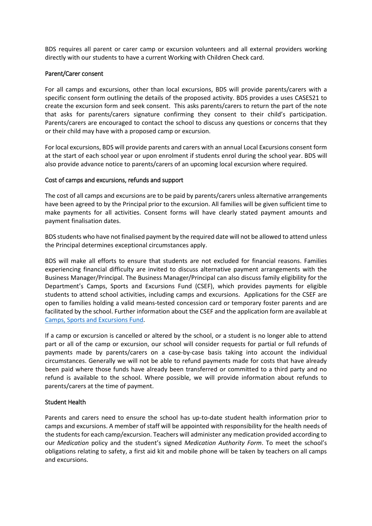BDS requires all parent or carer camp or excursion volunteers and all external providers working directly with our students to have a current Working with Children Check card.

#### Parent/Carer consent

For all camps and excursions, other than local excursions, BDS will provide parents/carers with a specific consent form outlining the details of the proposed activity. BDS provides a uses CASES21 to create the excursion form and seek consent. This asks parents/carers to return the part of the note that asks for parents/carers signature confirming they consent to their child's participation. Parents/carers are encouraged to contact the school to discuss any questions or concerns that they or their child may have with a proposed camp or excursion.

For local excursions, BDS will provide parents and carers with an annual Local Excursions consent form at the start of each school year or upon enrolment if students enrol during the school year. BDS will also provide advance notice to parents/carers of an upcoming local excursion where required.

#### Cost of camps and excursions, refunds and support

The cost of all camps and excursions are to be paid by parents/carers unless alternative arrangements have been agreed to by the Principal prior to the excursion. All families will be given sufficient time to make payments for all activities. Consent forms will have clearly stated payment amounts and payment finalisation dates.

BDS students who have not finalised payment by the required date will not be allowed to attend unless the Principal determines exceptional circumstances apply.

BDS will make all efforts to ensure that students are not excluded for financial reasons. Families experiencing financial difficulty are invited to discuss alternative payment arrangements with the Business Manager/Principal. The Business Manager/Principal can also discuss family eligibility for the Department's Camps, Sports and Excursions Fund (CSEF), which provides payments for eligible students to attend school activities, including camps and excursions. Applications for the CSEF are open to families holding a valid means-tested concession card or temporary foster parents and are facilitated by the school. Further information about the CSEF and the application form are available at [Camps, Sports and Excursions Fund.](http://www.education.vic.gov.au/about/programs/Pages/csef.aspx)

If a camp or excursion is cancelled or altered by the school, or a student is no longer able to attend part or all of the camp or excursion, our school will consider requests for partial or full refunds of payments made by parents/carers on a case-by-case basis taking into account the individual circumstances. Generally we will not be able to refund payments made for costs that have already been paid where those funds have already been transferred or committed to a third party and no refund is available to the school. Where possible, we will provide information about refunds to parents/carers at the time of payment.

#### Student Health

Parents and carers need to ensure the school has up-to-date student health information prior to camps and excursions. A member of staff will be appointed with responsibility for the health needs of the students for each camp/excursion. Teachers will administer any medication provided according to our *Medication* policy and the student's signed *Medication Authority Form*. To meet the school's obligations relating to safety, a first aid kit and mobile phone will be taken by teachers on all camps and excursions.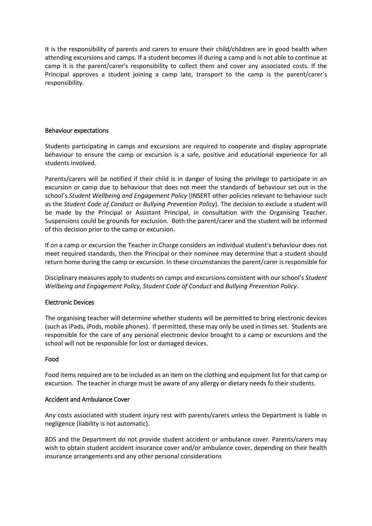It is the responsibility of parents and carers to ensure their child/children are in good health when attending excursions and camps. If a student becomes ill during a camp and is not able to continue at camp it is the parent/carer's responsibility to collect them and cover any associated costs. If the Principal approves a student joining a camp late, transport to the camp is the parent/carer's responsibility.

#### Behaviour expectations

Students participating in camps and excursions are required to cooperate and display appropriate behaviour to ensure the camp or excursion is a safe, positive and educational experience for all students involved.

Parents/carers will be notified if their child is in danger of losing the privilege to participate in an excursion or camp due to behaviour that does not meet the standards of behaviour set out in the school's *Student Wellbeing and Engagement Policy* [INSERT other policies relevant to behaviour such as the *Student Code of Conduct* or *Bullying Prevention Policy*). The decision to exclude a student will be made by the Principal or Assistant Principal, in consultation with the Organising Teacher. Suspensions could be grounds for exclusion. Both the parent/carer and the student will be informed of this decision prior to the camp or excursion.

If on a camp or excursion the Teacher in Charge considers an individual student's behaviour does not meet required standards, then the Principal or their nominee may determine that a student should return home during the camp or excursion. In these circumstances the parent/carer is responsible for

Disciplinary measures apply to students on camps and excursions consistent with our school's *Student Wellbeing and Engagement Policy, Student Code of Conduct* and *Bullying Prevention Policy*.

### Electronic Devices

The organising teacher will determine whether students will be permitted to bring electronic devices (such as iPads, iPods, mobile phones). If permitted, these may only be used in times set. Students are responsible for the care of any personal electronic device brought to a camp or excursions and the school will not be responsible for lost or damaged devices.

#### Food

Food items required are to be included as an item on the clothing and equipment list for that camp or excursion. The teacher in charge must be aware of any allergy or dietary needs fo their students.

#### Accident and Ambulance Cover

Any costs associated with student injury rest with parents/carers unless the Department is liable in negligence (liability is not automatic).

BDS and the Department do not provide student accident or ambulance cover. Parents/carers may wish to obtain student accident insurance cover and/or ambulance cover, depending on their health insurance arrangements and any other personal considerations